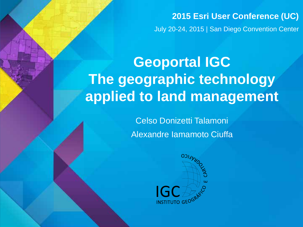**2015 Esri User Conference (UC)** July 20-24, 2015 | San Diego Convention Center

# **Geoportal IGC The geographic technology applied to land management**

Celso Donizetti Talamoni Alexandre Iamamoto Ciuffa

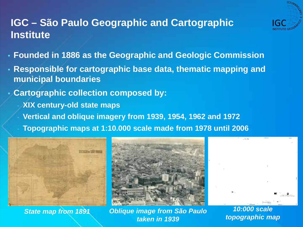

# **IGC – São Paulo Geographic and Cartographic Institute**

- **Founded in 1886 as the Geographic and Geologic Commission**
- **Responsible for cartographic base data, thematic mapping and municipal boundaries**
- **Cartographic collection composed by:**
	- **XIX century-old state maps**
	- **Vertical and oblique imagery from 1939, 1954, 1962 and 1972**
	- **Topographic maps at 1:10.000 scale made from 1978 until 2006**





*State map from 1891 Oblique image from São Paulo taken in 1939*

*10:000 scale topographic map*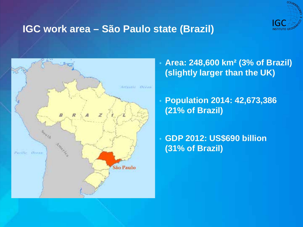

# **IGC work area – São Paulo state (Brazil)**



• **Area: 248,600 km² (3% of Brazil) (slightly larger than the UK)**

• **Population 2014: 42,673,386 (21% of Brazil)** 

• **GDP 2012: US\$690 billion (31% of Brazil)**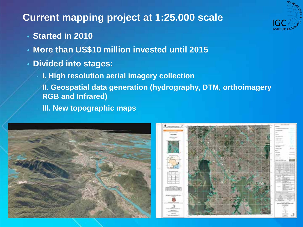# **Current mapping project at 1:25.000 scale**



- **Started in 2010**
- **More than US\$10 million invested until 2015**
- **Divided into stages:**
	- **I. High resolution aerial imagery collection**
	- **II. Geospatial data generation (hydrography, DTM, orthoimagery RGB and Infrared)**
	- **III. New topographic maps**



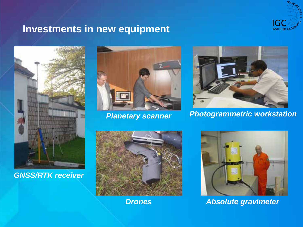

# **Investments in new equipment**



#### *GNSS/RTK receiver*





*Planetary scanner Photogrammetric workstation*



*Drones*



*Absolute gravimeter*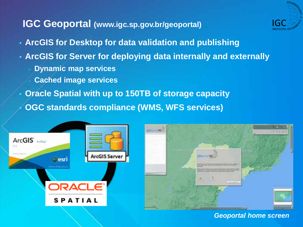#### **IGC Geoportal (www.igc.sp.gov.br/geoportal)**



- **ArcGIS for Desktop for data validation and publishing**
- **ArcGIS for Server for deploying data internally and externally**
	- **Dynamic map services**
	- **Cached image services**
- **Oracle Spatial with up to 150TB of storage capacity**

• **OGC standards compliance (WMS, WFS services)**





*Geoportal home screen*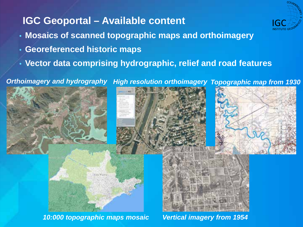# **IGC Geoportal – Available content**

- **Mosaics of scanned topographic maps and orthoimagery**
- **Georeferenced historic maps**
- **Vector data comprising hydrographic, relief and road features**

*Orthoimagery and hydrography High resolution orthoimagery Topographic map from 1930*



*10:000 topographic maps mosaic Vertical imagery from 1954*

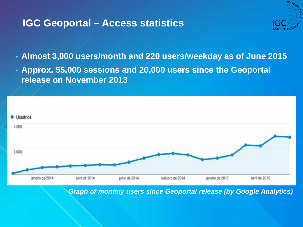# **IGC Geoportal – Access statistics**



- **Almost 3,000 users/month and 220 users/weekday as of June 2015**
- **Approx. 55,000 sessions and 20,000 users since the Geoportal release on November 2013**



*Graph of monthly users since Geoportal release (by Google Analytics)*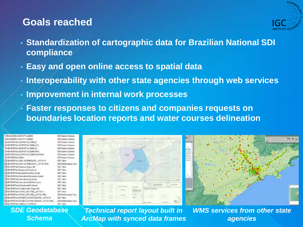### **Goals reached**



- **Standardization of cartographic data for Brazilian National SDI compliance**
- **Easy and open online access to spatial data**
- **Interoperability with other state agencies through web services**
- **Improvement in internal work processes**
- **Faster responses to citizens and companies requests on boundaries location reports and water courses delineation**

| 0006137/2010033920233920                                                                                                                                                                                                       | SCIE Faature Dation        |
|--------------------------------------------------------------------------------------------------------------------------------------------------------------------------------------------------------------------------------|----------------------------|
| 49-14039-1-120-2012 120-2012 120-2012                                                                                                                                                                                          | SER Festura Datase         |
| IN GEORGETAL EFORGETAL 25000 ET.                                                                                                                                                                                               | <b>IES Tasture Detero</b>  |
| THE DISPOSE AND RELEASED FOR THE STATE OF A STATE OF A STATE OF A STATE OF A STATE OF A STATE OF A STATE OF A STATE OF A STATE OF A STATE OF A STATE OF A STATE OF A STATE OF A STATE OF A STATE OF A STATE OF A STATE OF A ST | <b>SDI Fasture Dateur</b>  |
| THRECROFINAL GEORGET NUMBER 17                                                                                                                                                                                                 | SEX Feature Datase         |
| INVESTIGATIVE ASSESSMENT ASSESSMENTS.                                                                                                                                                                                          | <b>SCK Fortwic Distant</b> |
| BIGEORDE GIORDETAL2008CONFREE                                                                                                                                                                                                  | SSE Festure Dates          |
| <b>IS GEORGETAL GERAL</b>                                                                                                                                                                                                      | SEE Feature Entered        |
| HOROFORTAL AREA INTERFERIOR JUSTING                                                                                                                                                                                            | SCR Takes                  |
| SIGNORIALANIA INTERESADO, ATTACHIEL                                                                                                                                                                                            | SCR Ratchcorchiar C        |
| GEORGEN Despite Depar RA                                                                                                                                                                                                       | <b>SEE Table:</b>          |
| GOLDEN Deposit Programs                                                                                                                                                                                                        | <b>SCE Table</b>           |
| GEOPOFTAL Education wress Saude                                                                                                                                                                                                | side7.902                  |
| GEORGEAL E-BisabineViumean-as Sabili                                                                                                                                                                                           | SCIE Table                 |
| GOOD ALAS materials of A.Smide                                                                                                                                                                                                 | SOL Tekle -                |
| GEOPORTAL Indication(IP Municipies                                                                                                                                                                                             | SEE-Table                  |
| GEORGEAL Halladoxeth Outres                                                                                                                                                                                                    | SCK Takie                  |
| SECRETAL Investments Organ RA                                                                                                                                                                                                  | SER Table 1                |
| E GEORGEFAL PONTO VETTIRIA ATTACH                                                                                                                                                                                              | <b>SEX Takie</b>           |
| A GEORGETAL ROVED, VESTORIA, ATTACHER.                                                                                                                                                                                         | 109 Relationship Ct        |
| GROPORTAL FROKTO ESTRUTURINTE, ATTACH                                                                                                                                                                                          | SEE Table                  |
| ESGECPORTAL/PROSTO_ELTROTURANTE_ATTACHREC                                                                                                                                                                                      | SCR Rakatomakie Li         |
| <b>BOONNA TABLA CONTROLE</b>                                                                                                                                                                                                   | SDE Table                  |
|                                                                                                                                                                                                                                |                            |



*SDE Geodatabase Schema*

*Technical report layout built in ArcMap with synced data frames* *WMS services from other state agencies*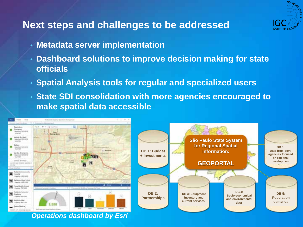

# **Next steps and challenges to be addressed**

- **Metadata server implementation**
- **Dashboard solutions to improve decision making for state officials**
- **Spatial Analysis tools for regular and specialized users**
- **State SDI consolidation with more agencies encouraged to make spatial data accessible**



*Operations dashboard by Esri*